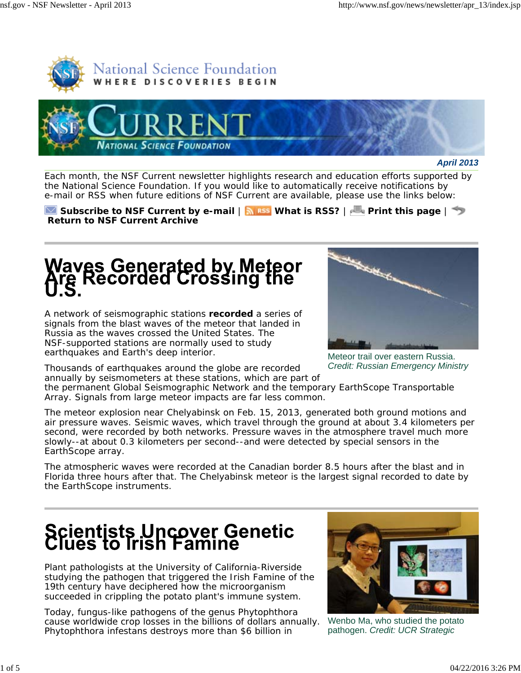



*April 2013*

Each month, the *NSF Current* newsletter highlights research and education efforts supported by the National Science Foundation. If you would like to automatically receive notifications by e-mail or RSS when future editions of *NSF Current* are available, please use the links below:

**Subscribe to** *NSF Current* by e-mail  $|\mathbf{N}|$  is **NAMEL IS RSS?** | **Print this page** |  $\rightarrow$ **Return to** *NSF Current* **Archive**

## Waves Generated by Meteor<br>Are Recorded Crossing the

A network of seismographic stations **recorded** a series of signals from the blast waves of the meteor that landed in Russia as the waves crossed the United States. The NSF-supported stations are normally used to study earthquakes and Earth's deep interior.

Thousands of earthquakes around the globe are recorded annually by seismometers at these stations, which are part of



Meteor trail over eastern Russia. *Credit: Russian Emergency Ministry*

the permanent Global Seismographic Network and the temporary EarthScope Transportable Array. Signals from large meteor impacts are far less common.

The meteor explosion near Chelyabinsk on Feb. 15, 2013, generated both ground motions and air pressure waves. Seismic waves, which travel through the ground at about 3.4 kilometers per second, were recorded by both networks. Pressure waves in the atmosphere travel much more slowly--at about 0.3 kilometers per second--and were detected by special sensors in the EarthScope array.

The atmospheric waves were recorded at the Canadian border 8.5 hours after the blast and in Florida three hours after that. The Chelyabinsk meteor is the largest signal recorded to date by the EarthScope instruments.

#### **Scientists Uncover Genetic<br>Clues to Irish Famine**

Plant pathologists at the University of California-Riverside studying the pathogen that triggered the Irish Famine of the 19th century have deciphered how the microorganism succeeded in crippling the potato plant's immune system.

Today, fungus-like pathogens of the genus *Phytophthora* cause worldwide crop losses in the billions of dollars annually. *Phytophthora infestans* destroys more than \$6 billion in



Wenbo Ma, who studied the potato pathogen. *Credit: UCR Strategic*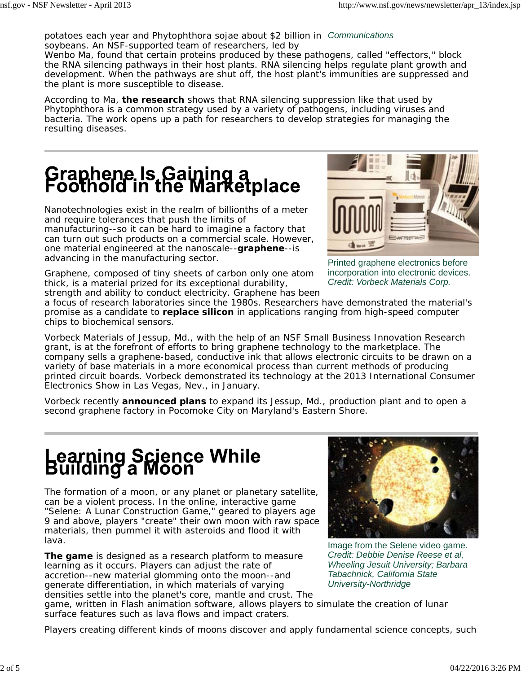*Communications* potatoes each year and *Phytophthora sojae* about \$2 billion in soybeans. An NSF-supported team of researchers, led by

Wenbo Ma, found that certain proteins produced by these pathogens, called "effectors," block the RNA silencing pathways in their host plants. RNA silencing helps regulate plant growth and development. When the pathways are shut off, the host plant's immunities are suppressed and the plant is more susceptible to disease.

According to Ma, **the research** shows that RNA silencing suppression like that used by *Phytophthora* is a common strategy used by a variety of pathogens, including viruses and bacteria*.* The work opens up a path for researchers to develop strategies for managing the resulting diseases.

### **Graphene Is Gaining a**<br>Foothold in the Marketplace

Nanotechnologies exist in the realm of billionths of a meter and require tolerances that push the limits of manufacturing--so it can be hard to imagine a factory that can turn out such products on a commercial scale. However, one material engineered at the nanoscale--**graphene**--is advancing in the manufacturing sector.

Graphene, composed of tiny sheets of carbon only one atom thick, is a material prized for its exceptional durability, strength and ability to conduct electricity. Graphene has been



Printed graphene electronics before incorporation into electronic devices. *Credit: Vorbeck Materials Corp.*

a focus of research laboratories since the 1980s. Researchers have demonstrated the material's promise as a candidate to **replace silicon** in applications ranging from high-speed computer chips to biochemical sensors.

Vorbeck Materials of Jessup, Md., with the help of an NSF Small Business Innovation Research grant, is at the forefront of efforts to bring graphene technology to the marketplace. The company sells a graphene-based, conductive ink that allows electronic circuits to be drawn on a variety of base materials in a more economical process than current methods of producing printed circuit boards. Vorbeck demonstrated its technology at the 2013 International Consumer Electronics Show in Las Vegas, Nev., in January.

Vorbeck recently **announced plans** to expand its Jessup, Md., production plant and to open a second graphene factory in Pocomoke City on Maryland's Eastern Shore.

#### Learning Science While<br>Building a Moon

The formation of a moon, or any planet or planetary satellite, can be a violent process. In the online, interactive game "Selene: A Lunar Construction Game," geared to players age 9 and above, players "create" their own moon with raw space materials, then pummel it with asteroids and flood it with lava.

**The game** is designed as a research platform to measure learning as it occurs. Players can adjust the rate of accretion--new material glomming onto the moon--and generate differentiation, in which materials of varying densities settle into the planet's core, mantle and crust. The



Image from the Selene video game. *Credit: Debbie Denise Reese et al, Wheeling Jesuit University; Barbara Tabachnick, California State University-Northridge*

game, written in Flash animation software, allows players to simulate the creation of lunar surface features such as lava flows and impact craters.

Players creating different kinds of moons discover and apply fundamental science concepts, such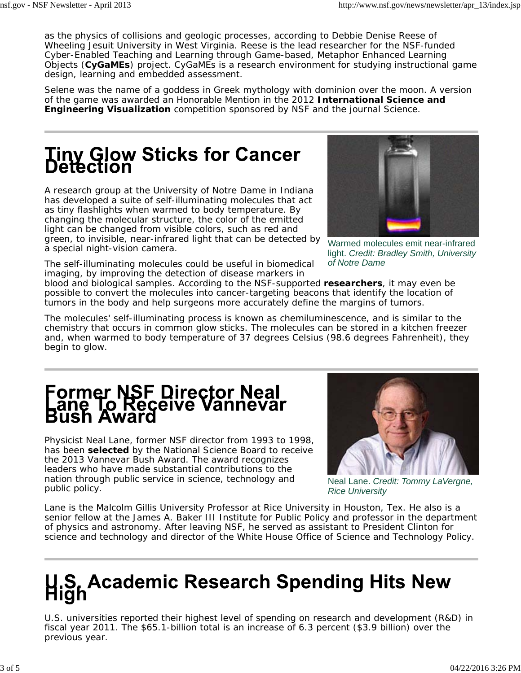as the physics of collisions and geologic processes, according to Debbie Denise Reese of Wheeling Jesuit University in West Virginia. Reese is the lead researcher for the NSF-funded Cyber-Enabled Teaching and Learning through Game-based, Metaphor Enhanced Learning Objects (**CyGaMEs**) project. CyGaMEs is a research environment for studying instructional game design, learning and embedded assessment.

Selene was the name of a goddess in Greek mythology with dominion over the moon. A version of the game was awarded an Honorable Mention in the 2012 **International Science and Engineering Visualization** competition sponsored by NSF and the journal *Science*.

#### **Tiny Glow Sticks for Cancer<br>Detection**

A research group at the University of Notre Dame in Indiana has developed a suite of self-illuminating molecules that act as tiny flashlights when warmed to body temperature. By changing the molecular structure, the color of the emitted light can be changed from visible colors, such as red and green, to invisible, near-infrared light that can be detected by a special night-vision camera.



Warmed molecules emit near-infrared light. *Credit: Bradley Smith, University of Notre Dame*

The self-illuminating molecules could be useful in biomedical imaging, by improving the detection of disease markers in

blood and biological samples. According to the NSF-supported **researchers**, it may even be possible to convert the molecules into cancer-targeting beacons that identify the location of tumors in the body and help surgeons more accurately define the margins of tumors.

The molecules' self-illuminating process is known as chemiluminescence, and is similar to the chemistry that occurs in common glow sticks. The molecules can be stored in a kitchen freezer and, when warmed to body temperature of 37 degrees Celsius (98.6 degrees Fahrenheit), they begin to glow.

# Former NSF Director Neal<br>Lane To Receive Vannevar<br>Bush Award

Physicist Neal Lane, former NSF director from 1993 to 1998, has been **selected** by the National Science Board to receive the 2013 Vannevar Bush Award. The award recognizes leaders who have made substantial contributions to the nation through public service in science, technology and public policy.



Neal Lane. *Credit: Tommy LaVergne, Rice University*

Lane is the Malcolm Gillis University Professor at Rice University in Houston, Tex. He also is a senior fellow at the James A. Baker III Institute for Public Policy and professor in the department of physics and astronomy. After leaving NSF, he served as assistant to President Clinton for science and technology and director of the White House Office of Science and Technology Policy.

### U.S. Academic Research Spending Hits New

U.S. universities reported their highest level of spending on research and development (R&D) in fiscal year 2011. The \$65.1-billion total is an increase of 6.3 percent (\$3.9 billion) over the previous year.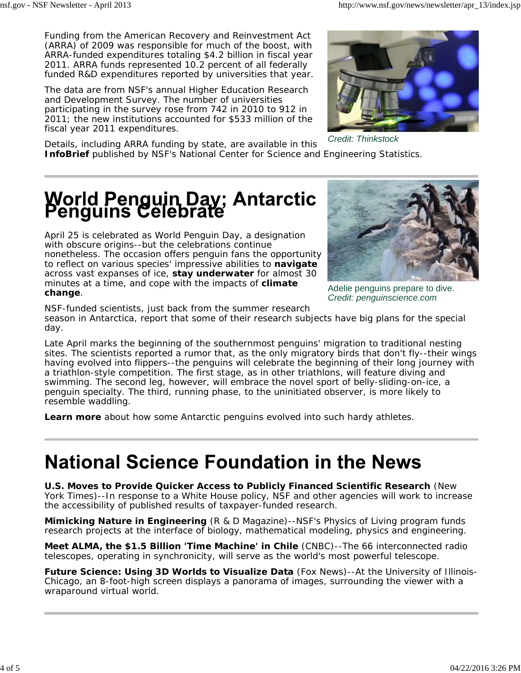Funding from the *American Recovery and Reinvestment Act* (ARRA) of 2009 was responsible for much of the boost, with ARRA-funded expenditures totaling \$4.2 billion in fiscal year 2011. ARRA funds represented 10.2 percent of all federally funded R&D expenditures reported by universities that year.

The data are from NSF's annual Higher Education Research and Development Survey. The number of universities participating in the survey rose from 742 in 2010 to 912 in 2011; the new institutions accounted for \$533 million of the fiscal year 2011 expenditures.



*Credit: Thinkstock*

Details, including ARRA funding by state, are available in this **InfoBrief** published by NSF's National Center for Science and Engineering Statistics.

#### **World Penguin Day; Antarctic<br>Penguins Celebrate**

April 25 is celebrated as World Penguin Day, a designation with obscure origins--but the celebrations continue nonetheless. The occasion offers penguin fans the opportunity to reflect on various species' impressive abilities to **navigate** across vast expanses of ice, **stay underwater** for almost 30 minutes at a time, and cope with the impacts of **climate change**.



Adelie penguins prepare to dive. *Credit: penguinscience.com*

NSF-funded scientists, just back from the summer research

season in Antarctica, report that some of their research subjects have big plans for the special day.

Late April marks the beginning of the southernmost penguins' migration to traditional nesting sites. The scientists reported a rumor that, as the only migratory birds that don't fly--their wings having evolved into flippers--the penguins will celebrate the beginning of their long journey with a triathlon-style competition. The first stage, as in other triathlons, will feature diving and swimming. The second leg, however, will embrace the novel sport of belly-sliding-on-ice, a penguin specialty. The third, running phase, to the uninitiated observer, is more likely to resemble waddling.

**Learn more** about how some Antarctic penguins evolved into such hardy athletes.

#### **National Science Foundation in the News**

**U.S. Moves to Provide Quicker Access to Publicly Financed Scientific Research** *(New York Times)*--In response to a White House policy, NSF and other agencies will work to increase the accessibility of published results of taxpayer-funded research.

**Mimicking Nature in Engineering** *(R & D Magazine)--*NSF's Physics of Living program funds research projects at the interface of biology, mathematical modeling, physics and engineering.

**Meet ALMA, the \$1.5 Billion 'Time Machine' in Chile** *(CNBC)--*The 66 interconnected radio telescopes, operating in synchronicity, will serve as the world's most powerful telescope.

**Future Science: Using 3D Worlds to Visualize Data** *(Fox News*)--At the University of Illinois-Chicago, an 8-foot-high screen displays a panorama of images, surrounding the viewer with a wraparound virtual world.